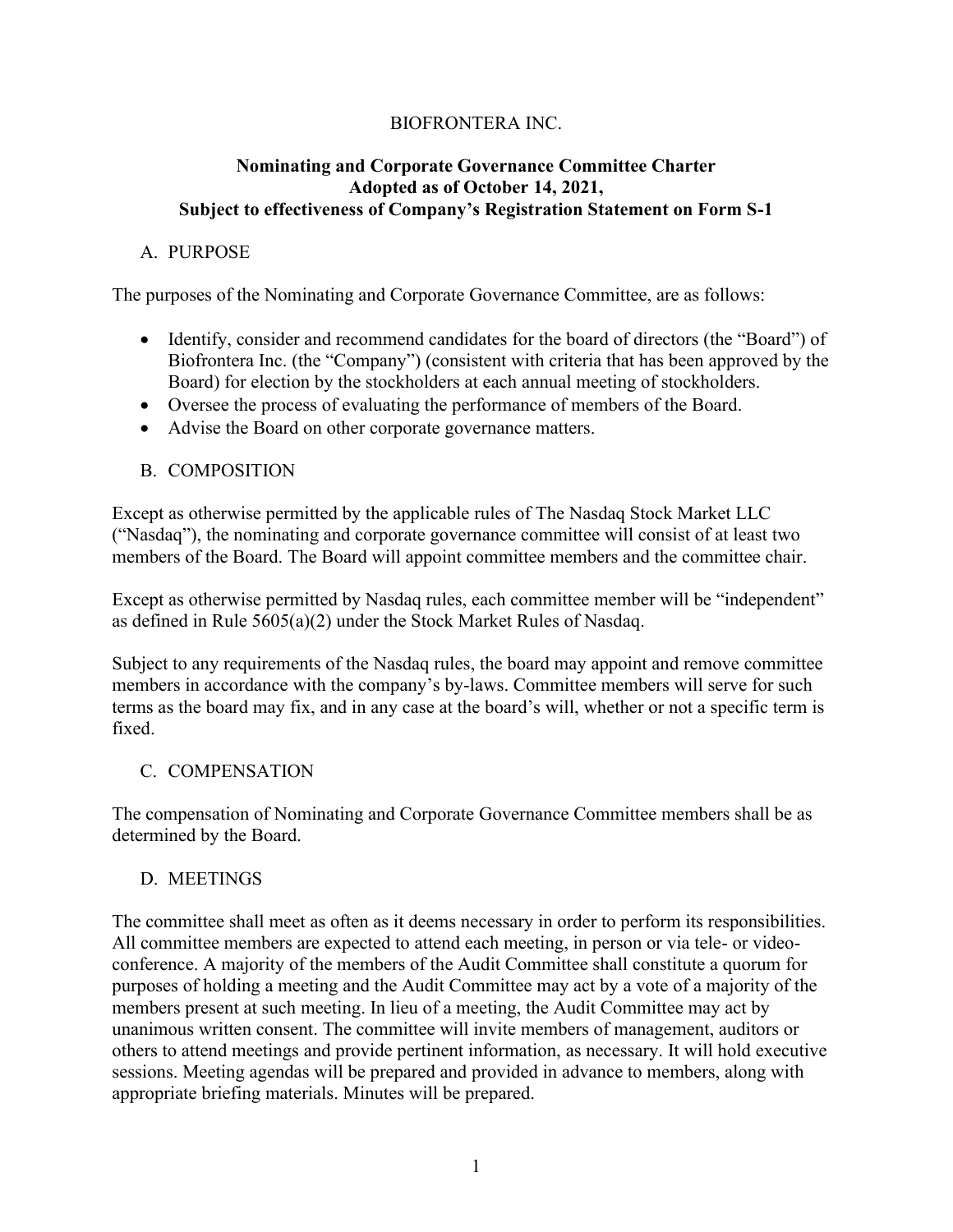## BIOFRONTERA INC.

#### **Nominating and Corporate Governance Committee Charter Adopted as of October 14, 2021, Subject to effectiveness of Company's Registration Statement on Form S-1**

### A. PURPOSE

The purposes of the Nominating and Corporate Governance Committee, are as follows:

- Identify, consider and recommend candidates for the board of directors (the "Board") of Biofrontera Inc. (the "Company") (consistent with criteria that has been approved by the Board) for election by the stockholders at each annual meeting of stockholders.
- Oversee the process of evaluating the performance of members of the Board.
- Advise the Board on other corporate governance matters.

### B. COMPOSITION

Except as otherwise permitted by the applicable rules of The Nasdaq Stock Market LLC ("Nasdaq"), the nominating and corporate governance committee will consist of at least two members of the Board. The Board will appoint committee members and the committee chair.

Except as otherwise permitted by Nasdaq rules, each committee member will be "independent" as defined in Rule 5605(a)(2) under the Stock Market Rules of Nasdaq.

Subject to any requirements of the Nasdaq rules, the board may appoint and remove committee members in accordance with the company's by-laws. Committee members will serve for such terms as the board may fix, and in any case at the board's will, whether or not a specific term is fixed.

### C. COMPENSATION

The compensation of Nominating and Corporate Governance Committee members shall be as determined by the Board.

### D. MEETINGS

The committee shall meet as often as it deems necessary in order to perform its responsibilities. All committee members are expected to attend each meeting, in person or via tele- or videoconference. A majority of the members of the Audit Committee shall constitute a quorum for purposes of holding a meeting and the Audit Committee may act by a vote of a majority of the members present at such meeting. In lieu of a meeting, the Audit Committee may act by unanimous written consent. The committee will invite members of management, auditors or others to attend meetings and provide pertinent information, as necessary. It will hold executive sessions. Meeting agendas will be prepared and provided in advance to members, along with appropriate briefing materials. Minutes will be prepared.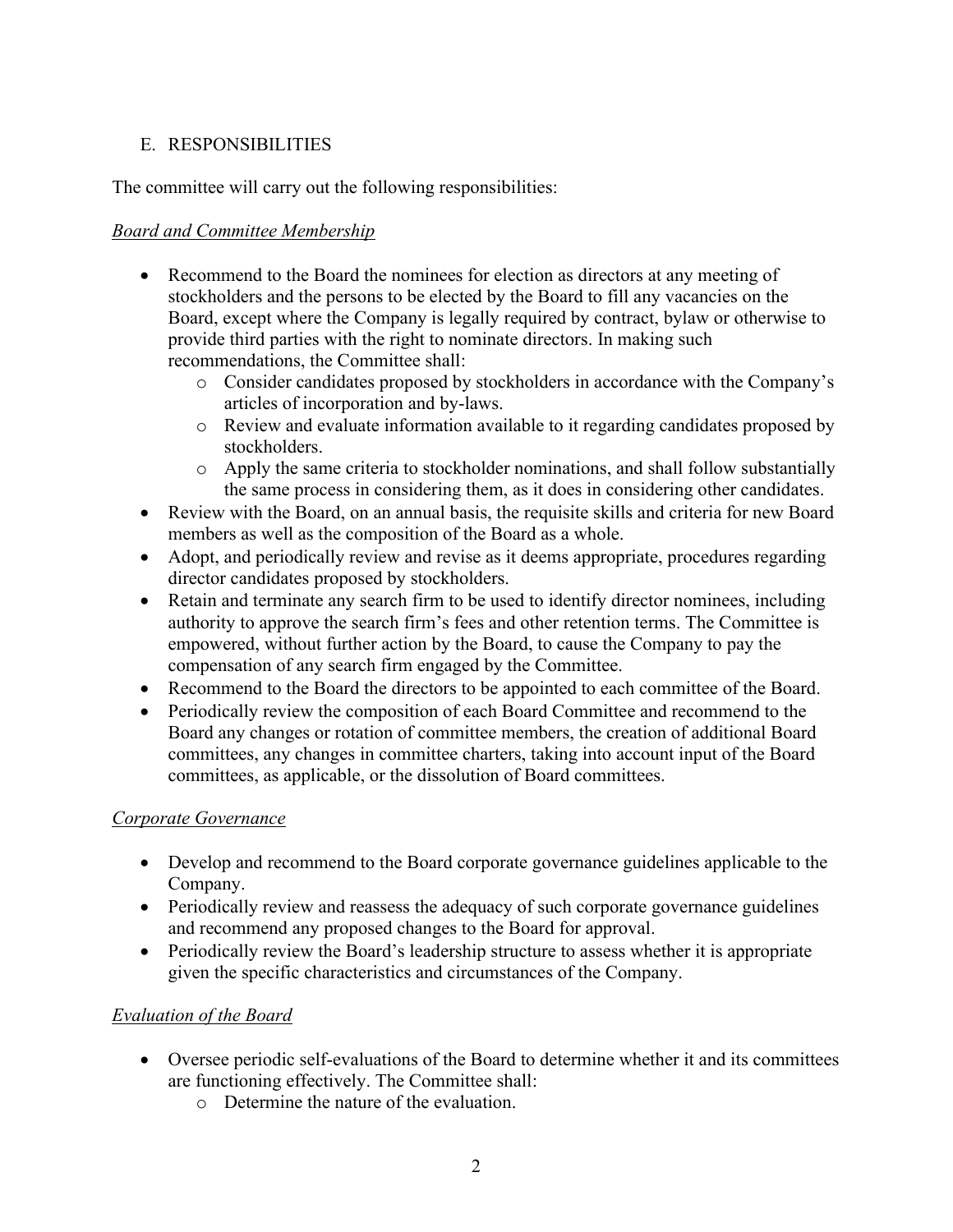# E. RESPONSIBILITIES

The committee will carry out the following responsibilities:

## *Board and Committee Membership*

- Recommend to the Board the nominees for election as directors at any meeting of stockholders and the persons to be elected by the Board to fill any vacancies on the Board, except where the Company is legally required by contract, bylaw or otherwise to provide third parties with the right to nominate directors. In making such recommendations, the Committee shall:
	- o Consider candidates proposed by stockholders in accordance with the Company's articles of incorporation and by-laws.
	- o Review and evaluate information available to it regarding candidates proposed by stockholders.
	- o Apply the same criteria to stockholder nominations, and shall follow substantially the same process in considering them, as it does in considering other candidates.
- Review with the Board, on an annual basis, the requisite skills and criteria for new Board members as well as the composition of the Board as a whole.
- Adopt, and periodically review and revise as it deems appropriate, procedures regarding director candidates proposed by stockholders.
- Retain and terminate any search firm to be used to identify director nominees, including authority to approve the search firm's fees and other retention terms. The Committee is empowered, without further action by the Board, to cause the Company to pay the compensation of any search firm engaged by the Committee.
- Recommend to the Board the directors to be appointed to each committee of the Board.
- Periodically review the composition of each Board Committee and recommend to the Board any changes or rotation of committee members, the creation of additional Board committees, any changes in committee charters, taking into account input of the Board committees, as applicable, or the dissolution of Board committees.

### *Corporate Governance*

- Develop and recommend to the Board corporate governance guidelines applicable to the Company.
- Periodically review and reassess the adequacy of such corporate governance guidelines and recommend any proposed changes to the Board for approval.
- Periodically review the Board's leadership structure to assess whether it is appropriate given the specific characteristics and circumstances of the Company.

# *Evaluation of the Board*

- Oversee periodic self-evaluations of the Board to determine whether it and its committees are functioning effectively. The Committee shall:
	- o Determine the nature of the evaluation.